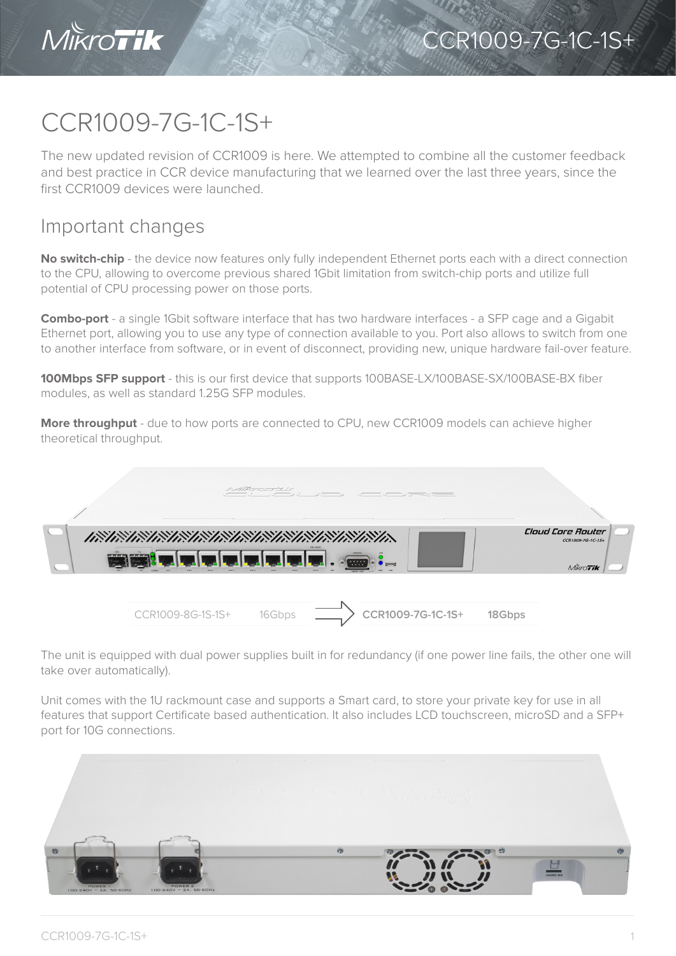

## CCR1009-7G-1C-1S+

The new updated revision of CCR1009 is here. We attempted to combine all the customer feedback and best practice in CCR device manufacturing that we learned over the last three years, since the first CCR1009 devices were launched.

## Important changes

**No switch-chip** - the device now features only fully independent Ethernet ports each with a direct connection to the CPU, allowing to overcome previous shared 1Gbit limitation from switch-chip ports and utilize full potential of CPU processing power on those ports.

**Combo-port** - a single 1Gbit software interface that has two hardware interfaces - a SFP cage and a Gigabit Ethernet port, allowing you to use any type of connection available to you. Port also allows to switch from one to another interface from software, or in event of disconnect, providing new, unique hardware fail-over feature.

**100Mbps SFP support** - this is our first device that supports 100BASE-LX/100BASE-SX/100BASE-BX fiber modules, as well as standard 1.25G SFP modules.

**More throughput** - due to how ports are connected to CPU, new CCR1009 models can achieve higher theoretical throughput.

|                   | $\frac{1}{4}$ | $-2 - 1$                                 |                                                           |
|-------------------|---------------|------------------------------------------|-----------------------------------------------------------|
| ENEX              |               | <b>SOCKY</b><br>$\overline{\phantom{a}}$ | Cloud Core Router<br>CCR1009-7G-1C-1S+<br><b>MIKroTik</b> |
| CCR1009-8G-1S-1S+ | 16Gbps        | CCR1009-7G-1C-1S+                        | 18Gbps                                                    |

The unit is equipped with dual power supplies built in for redundancy (if one power line fails, the other one will take over automatically).

Unit comes with the 1U rackmount case and supports a Smart card, to store your private key for use in all features that support Certificate based authentication. It also includes LCD touchscreen, microSD and a SFP+ port for 10G connections.